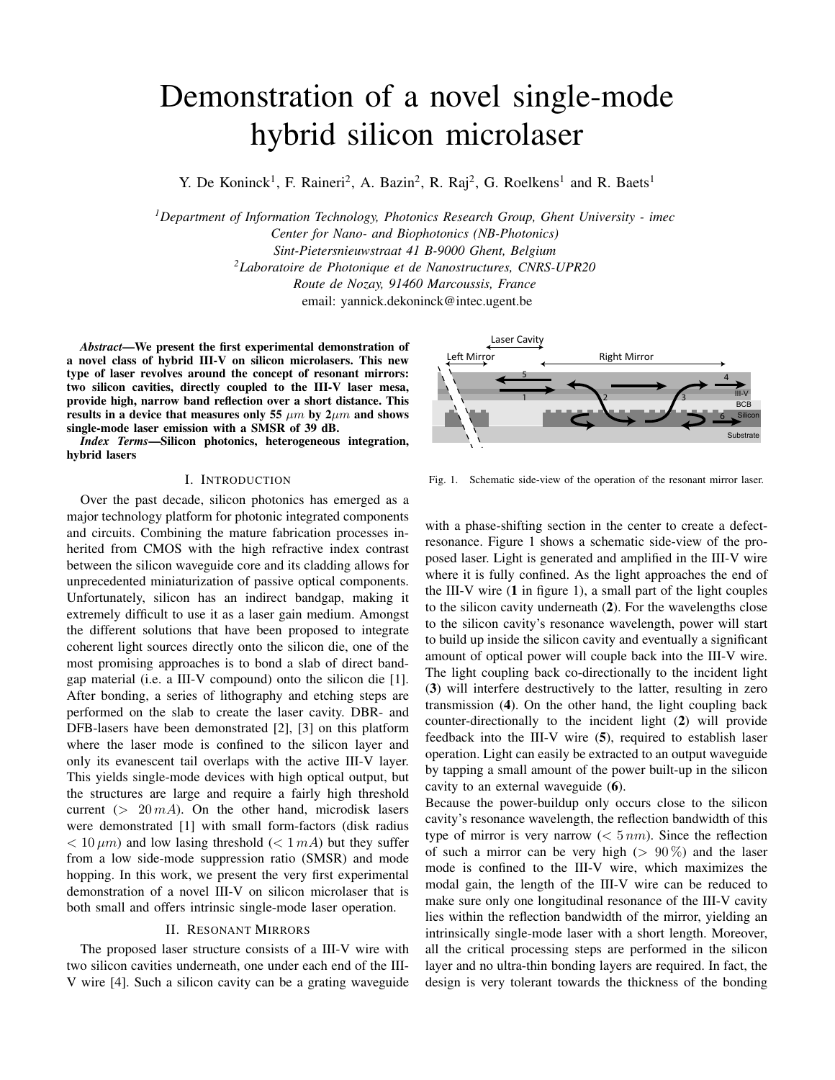# Demonstration of a novel single-mode hybrid silicon microlaser

Y. De Koninck<sup>1</sup>, F. Raineri<sup>2</sup>, A. Bazin<sup>2</sup>, R. Raj<sup>2</sup>, G. Roelkens<sup>1</sup> and R. Baets<sup>1</sup>

*<sup>1</sup>Department of Information Technology, Photonics Research Group, Ghent University - imec Center for Nano- and Biophotonics (NB-Photonics) Sint-Pietersnieuwstraat 41 B-9000 Ghent, Belgium <sup>2</sup>Laboratoire de Photonique et de Nanostructures, CNRS-UPR20 Route de Nozay, 91460 Marcoussis, France* email: yannick.dekoninck@intec.ugent.be

*Abstract*—We present the first experimental demonstration of a novel class of hybrid III-V on silicon microlasers. This new type of laser revolves around the concept of resonant mirrors: two silicon cavities, directly coupled to the III-V laser mesa, provide high, narrow band reflection over a short distance. This results in a device that measures only 55  $\mu m$  by  $2\mu m$  and shows single-mode laser emission with a SMSR of 39 dB.

*Index Terms*—Silicon photonics, heterogeneous integration, hybrid lasers

## I. INTRODUCTION

Over the past decade, silicon photonics has emerged as a major technology platform for photonic integrated components and circuits. Combining the mature fabrication processes inherited from CMOS with the high refractive index contrast between the silicon waveguide core and its cladding allows for unprecedented miniaturization of passive optical components. Unfortunately, silicon has an indirect bandgap, making it extremely difficult to use it as a laser gain medium. Amongst the different solutions that have been proposed to integrate coherent light sources directly onto the silicon die, one of the most promising approaches is to bond a slab of direct bandgap material (i.e. a III-V compound) onto the silicon die [1]. After bonding, a series of lithography and etching steps are performed on the slab to create the laser cavity. DBR- and DFB-lasers have been demonstrated [2], [3] on this platform where the laser mode is confined to the silicon layer and only its evanescent tail overlaps with the active III-V layer. This yields single-mode devices with high optical output, but the structures are large and require a fairly high threshold current ( $> 20 mA$ ). On the other hand, microdisk lasers were demonstrated [1] with small form-factors (disk radius  $< 10 \mu m$ ) and low lasing threshold ( $< 1 mA$ ) but they suffer from a low side-mode suppression ratio (SMSR) and mode hopping. In this work, we present the very first experimental demonstration of a novel III-V on silicon microlaser that is both small and offers intrinsic single-mode laser operation.

## II. RESONANT MIRRORS

The proposed laser structure consists of a III-V wire with two silicon cavities underneath, one under each end of the III-V wire [4]. Such a silicon cavity can be a grating waveguide



Fig. 1. Schematic side-view of the operation of the resonant mirror laser.

with a phase-shifting section in the center to create a defectresonance. Figure 1 shows a schematic side-view of the proposed laser. Light is generated and amplified in the III-V wire where it is fully confined. As the light approaches the end of the III-V wire  $(1 \text{ in figure 1})$ , a small part of the light couples to the silicon cavity underneath (2). For the wavelengths close to the silicon cavity's resonance wavelength, power will start to build up inside the silicon cavity and eventually a significant amount of optical power will couple back into the III-V wire. The light coupling back co-directionally to the incident light (3) will interfere destructively to the latter, resulting in zero transmission (4). On the other hand, the light coupling back counter-directionally to the incident light (2) will provide feedback into the III-V wire (5), required to establish laser operation. Light can easily be extracted to an output waveguide by tapping a small amount of the power built-up in the silicon cavity to an external waveguide (6).

Because the power-buildup only occurs close to the silicon cavity's resonance wavelength, the reflection bandwidth of this type of mirror is very narrow  $(< 5 \, nm$ ). Since the reflection of such a mirror can be very high ( $> 90\%$ ) and the laser mode is confined to the III-V wire, which maximizes the modal gain, the length of the III-V wire can be reduced to make sure only one longitudinal resonance of the III-V cavity lies within the reflection bandwidth of the mirror, yielding an intrinsically single-mode laser with a short length. Moreover, all the critical processing steps are performed in the silicon layer and no ultra-thin bonding layers are required. In fact, the design is very tolerant towards the thickness of the bonding